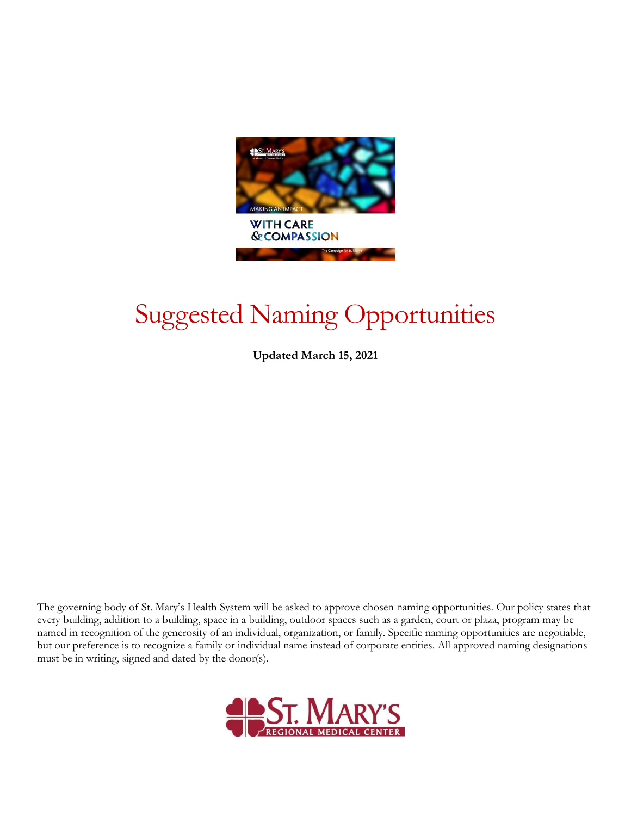

# Suggested Naming Opportunities

**Updated March 15, 2021**

The governing body of St. Mary's Health System will be asked to approve chosen naming opportunities. Our policy states that every building, addition to a building, space in a building, outdoor spaces such as a garden, court or plaza, program may be named in recognition of the generosity of an individual, organization, or family. Specific naming opportunities are negotiable, but our preference is to recognize a family or individual name instead of corporate entities. All approved naming designations must be in writing, signed and dated by the donor(s).

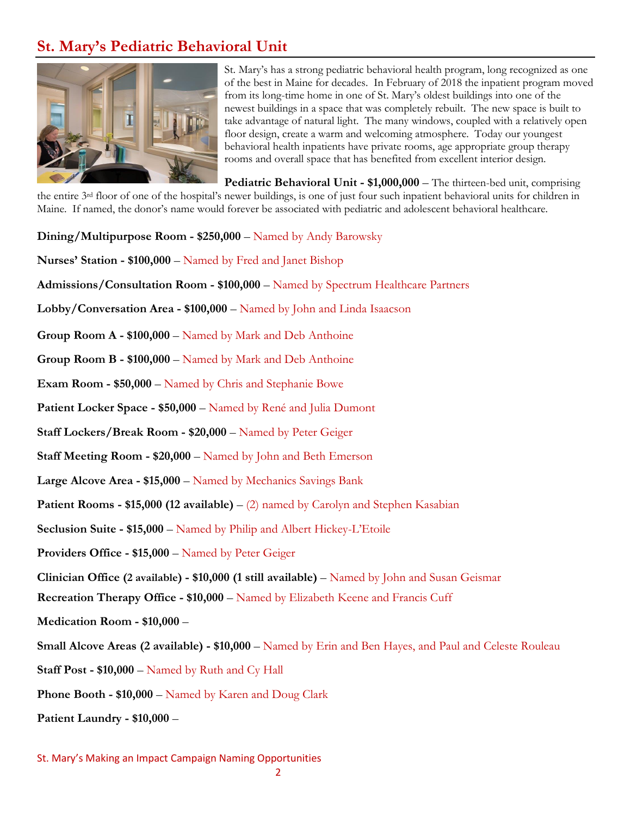## **St. Mary's Pediatric Behavioral Unit**



St. Mary's has a strong pediatric behavioral health program, long recognized as one of the best in Maine for decades. In February of 2018 the inpatient program moved from its long-time home in one of St. Mary's oldest buildings into one of the newest buildings in a space that was completely rebuilt. The new space is built to take advantage of natural light. The many windows, coupled with a relatively open floor design, create a warm and welcoming atmosphere. Today our youngest behavioral health inpatients have private rooms, age appropriate group therapy rooms and overall space that has benefited from excellent interior design.

**Pediatric Behavioral Unit - \$1,000,000** – The thirteen-bed unit, comprising the entire 3rd floor of one of the hospital's newer buildings, is one of just four such inpatient behavioral units for children in Maine. If named, the donor's name would forever be associated with pediatric and adolescent behavioral healthcare.

- **Dining/Multipurpose Room - \$250,000** Named by Andy Barowsky
- **Nurses' Station - \$100,000** Named by Fred and Janet Bishop
- **Admissions/Consultation Room - \$100,000**  Named by Spectrum Healthcare Partners
- **Lobby/Conversation Area - \$100,000**  Named by John and Linda Isaacson
- **Group Room A - \$100,000** Named by Mark and Deb Anthoine
- **Group Room B - \$100,000** Named by Mark and Deb Anthoine
- **Exam Room - \$50,000** Named by Chris and Stephanie Bowe
- **Patient Locker Space - \$50,000** Named by René and Julia Dumont
- **Staff Lockers/Break Room - \$20,000**  Named by Peter Geiger
- **Staff Meeting Room - \$20,000**  Named by John and Beth Emerson
- **Large Alcove Area - \$15,000**  Named by Mechanics Savings Bank
- **Patient Rooms - \$15,000 (12 available)** (2) named by Carolyn and Stephen Kasabian
- **Seclusion Suite - \$15,000** Named by Philip and Albert Hickey-L'Etoile
- **Providers Office - \$15,000** Named by Peter Geiger
- **Clinician Office (2 available) - \$10,000 (1 still available)**  Named by John and Susan Geismar
- **Recreation Therapy Office - \$10,000**  Named by Elizabeth Keene and Francis Cuff
- **Medication Room - \$10,000** –
- **Small Alcove Areas (2 available) - \$10,000**  Named by Erin and Ben Hayes, and Paul and Celeste Rouleau
- **Staff Post - \$10,000**  Named by Ruth and Cy Hall
- **Phone Booth - \$10,000**  Named by Karen and Doug Clark
- **Patient Laundry - \$10,000** –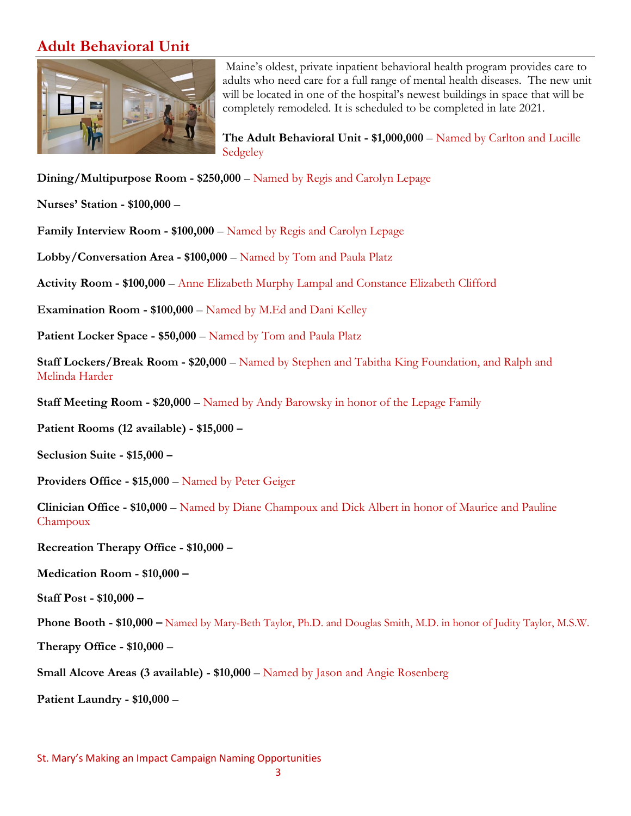### **Adult Behavioral Unit**



Maine's oldest, private inpatient behavioral health program provides care to adults who need care for a full range of mental health diseases. The new unit will be located in one of the hospital's newest buildings in space that will be completely remodeled. It is scheduled to be completed in late 2021.

**The Adult Behavioral Unit - \$1,000,000** – Named by Carlton and Lucille Sedgeley

**Dining/Multipurpose Room - \$250,000** – Named by Regis and Carolyn Lepage

**Nurses' Station - \$100,000** –

**Family Interview Room - \$100,000** – Named by Regis and Carolyn Lepage

**Lobby/Conversation Area - \$100,000** – Named by Tom and Paula Platz

**Activity Room - \$100,000** – Anne Elizabeth Murphy Lampal and Constance Elizabeth Clifford

**Examination Room - \$100,000** – Named by M.Ed and Dani Kelley

**Patient Locker Space - \$50,000** – Named by Tom and Paula Platz

**Staff Lockers/Break Room - \$20,000** – Named by Stephen and Tabitha King Foundation, and Ralph and Melinda Harder

**Staff Meeting Room - \$20,000** – Named by Andy Barowsky in honor of the Lepage Family

**Patient Rooms (12 available) - \$15,000 –**

**Seclusion Suite - \$15,000 –**

**Providers Office - \$15,000** – Named by Peter Geiger

**Clinician Office - \$10,000** – Named by Diane Champoux and Dick Albert in honor of Maurice and Pauline Champoux

**Recreation Therapy Office - \$10,000 –**

**Medication Room - \$10,000 –**

**Staff Post - \$10,000 –**

**Phone Booth - \$10,000 –** Named by Mary-Beth Taylor, Ph.D. and Douglas Smith, M.D. in honor of Judity Taylor, M.S.W.

**Therapy Office - \$10,000** –

**Small Alcove Areas (3 available) - \$10,000** – Named by Jason and Angie Rosenberg

**Patient Laundry - \$10,000** –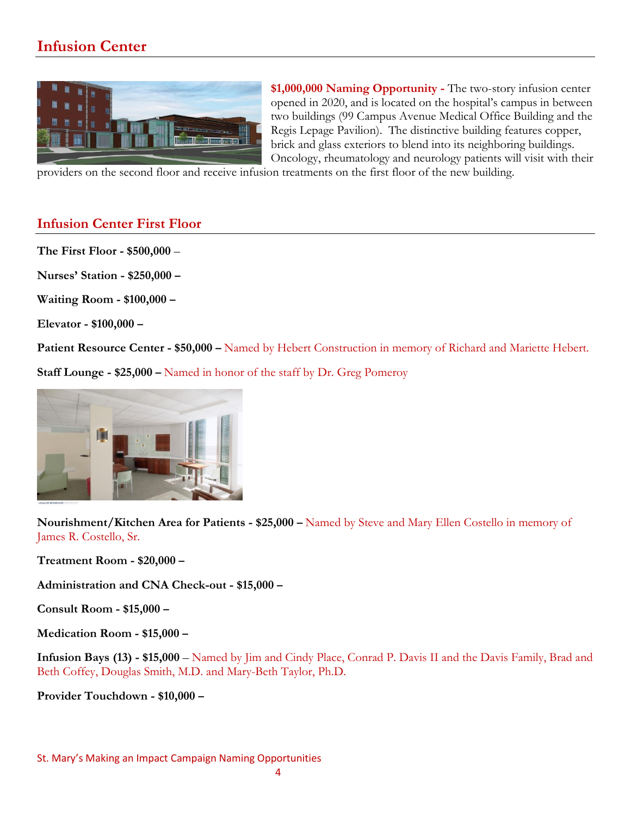## **Infusion Center**



**\$1,000,000 Naming Opportunity -** The two-story infusion center opened in 2020, and is located on the hospital's campus in between two buildings (99 Campus Avenue Medical Office Building and the Regis Lepage Pavilion). The distinctive building features copper, brick and glass exteriors to blend into its neighboring buildings. Oncology, rheumatology and neurology patients will visit with their

providers on the second floor and receive infusion treatments on the first floor of the new building.

#### **Infusion Center First Floor**

**The First Floor - \$500,000** –

**Nurses' Station - \$250,000 –**

**Waiting Room - \$100,000 –**

**Elevator - \$100,000 –**

**Patient Resource Center - \$50,000 –** Named by Hebert Construction in memory of Richard and Mariette Hebert.

**Staff Lounge - \$25,000 –** Named in honor of the staff by Dr. Greg Pomeroy



**Nourishment/Kitchen Area for Patients - \$25,000 –** Named by Steve and Mary Ellen Costello in memory of James R. Costello, Sr.

**Treatment Room - \$20,000 –**

**Administration and CNA Check-out - \$15,000 –**

**Consult Room - \$15,000 –**

**Medication Room - \$15,000 –**

**Infusion Bays (13) - \$15,000** – Named by Jim and Cindy Place, Conrad P. Davis II and the Davis Family, Brad and Beth Coffey, Douglas Smith, M.D. and Mary-Beth Taylor, Ph.D.

**Provider Touchdown - \$10,000 –**